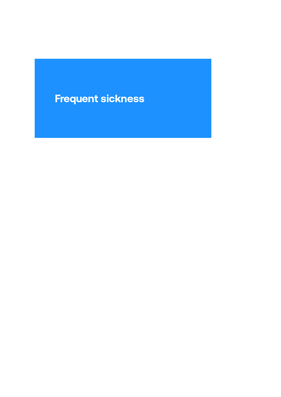# Frequent sickness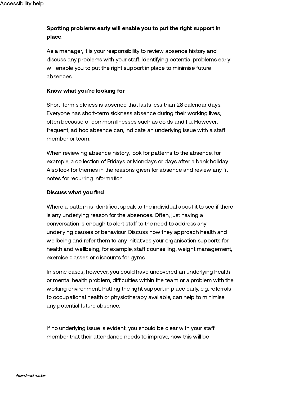# Spotting problems early will enable you to put the right support in place.

As a manager, it is your responsibility to review absence history and discuss any problems with your staff. Identifying potential problems early will enable you to put the right support in place to minimise future absences.

## Know what you're looking for

Short-term sickness is absence that lasts less than 28 calendar days. Everyone has short-term sickness absence during their working lives, often because of common illnesses such as colds and flu. However, frequent, ad hoc absence can, indicate an underlying issue with a sta member or team.

When reviewing absence history, look for patterns to the absence, for example, a collection of Fridays or Mondays or days after a bank holiday. Also look for themes in the reasons given for absence and review any fit notes for recurring information.

#### Discuss what you find

Where a pattern is identified, speak to the individual about it to see if there is any underlying reason for the absences. Often, just having a conversation is enough to alert staff to the need to address any underlying causes or behaviour. Discuss how they approach health and wellbeing and refer them to any initiatives your organisation supports for health and wellbeing, for example, staff counselling, weight management, exercise classes or discounts for gyms.

In some cases, however, you could have uncovered an underlying health or mental health problem, difficulties within the team or a problem with the working environment. Putting the right support in place early, e.g. referrals to occupational health or physiotherapy available, can help to minimise any potential future absence.

If no underlying issue is evident, you should be clear with your staff member that their attendance needs to improve, how this will be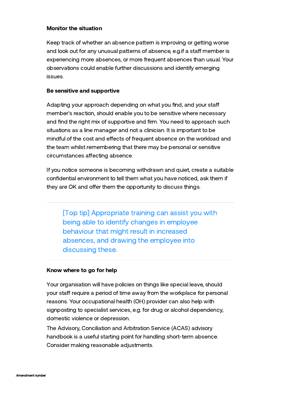## Monitor the situation

Keep track of whether an absence pattern is improving or getting worse and look out for any unusual patterns of absence, e.g. if a staff member is experiencing more absences, or more frequent absences than usual. Your observations could enable further discussions and identify emerging issues.

#### Be sensitive and supportive

Adapting your approach depending on what you find, and your staff member's reaction, should enable you to be sensitive where necessary and find the right mix of supportive and firm. You need to approach such situations as a line manager and not a clinician. It is important to be mindful of the cost and effects of frequent absence on the workload and the team whilst remembering that there may be personal or sensitive circumstances affecting absence.

If you notice someone is becoming withdrawn and quiet, create a suitable confidential environment to tell them what you have noticed, ask them if they are OK and offer them the opportunity to discuss things.

[Top tip] Appropriate training can assist you with being able to identify changes in employee behaviour that might result in increased absences, and drawing the employee into discussing these.

## Know where to go for help

Your organisation will have policies on things like special leave, should your staff require a period of time away from the workplace for personal reasons. Your occupational health (OH) provider can also help with signposting to specialist services, e.g. for drug or alcohol dependency, domestic violence or depression.

The Advisory, [Conciliation](https://www.acas.org.uk/advice) and Arbitration Service (ACAS) advisory handbook is a useful starting point for handling short-term absence. Consider making reasonable adjustments.